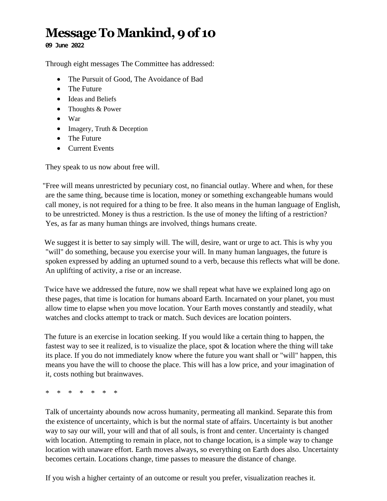## **Message To Mankind, 9of 10**

**09 June 2022**

Through eight messages The Committee has addressed:

- The Pursuit of Good, The Avoidance of Bad
- The Future
- Ideas and Beliefs
- Thoughts & Power
- War
- Imagery, Truth & Deception
- The Future
- Current Events

They speak to us now about free will.

"Free will means unrestricted by pecuniary cost, no financial outlay. Where and when, for these are the same thing, because time is location, money or something exchangeable humans would call money, is not required for a thing to be free. It also means in the human language of English, to be unrestricted. Money is thus a restriction. Is the use of money the lifting of a restriction? Yes, as far as many human things are involved, things humans create.

We suggest it is better to say simply will. The will, desire, want or urge to act. This is why you "will" do something, because you exercise your will. In many human languages, the future is spoken expressed by adding an upturned sound to a verb, because this reflects what will be done. An uplifting of activity, a rise or an increase.

Twice have we addressed the future, now we shall repeat what have we explained long ago on these pages, that time is location for humans aboard Earth. Incarnated on your planet, you must allow time to elapse when you move location. Your Earth moves constantly and steadily, what watches and clocks attempt to track or match. Such devices are location pointers.

The future is an exercise in location seeking. If you would like a certain thing to happen, the fastest way to see it realized, is to visualize the place, spot & location where the thing will take its place. If you do not immediately know where the future you want shall or "will" happen, this means you have the will to choose the place. This will has a low price, and your imagination of it, costs nothing but brainwaves.

\* \* \* \* \* \* \*

Talk of uncertainty abounds now across humanity, permeating all mankind. Separate this from the existence of uncertainty, which is but the normal state of affairs. Uncertainty is but another way to say our will, your will and that of all souls, is front and center. Uncertainty is changed with location. Attempting to remain in place, not to change location, is a simple way to change location with unaware effort. Earth moves always, so everything on Earth does also. Uncertainty becomes certain. Locations change, time passes to measure the distance of change.

If you wish a higher certainty of an outcome or result you prefer, visualization reaches it.